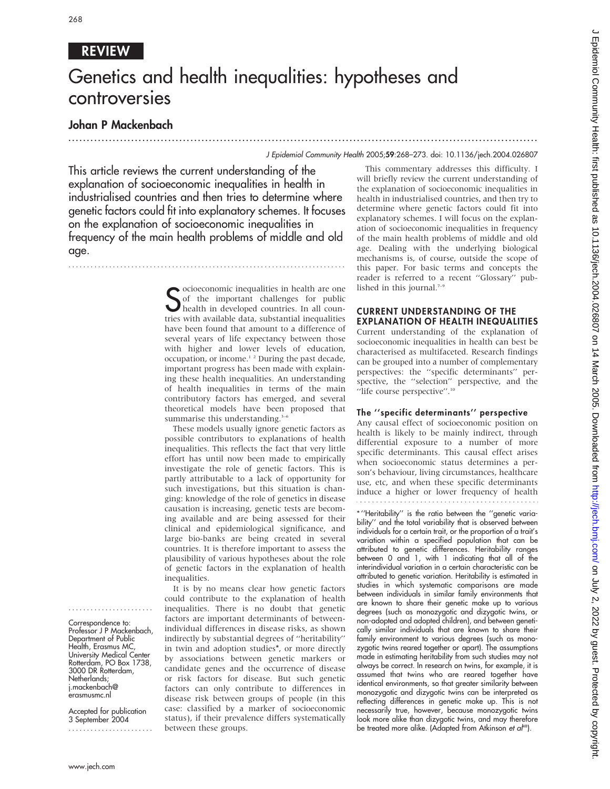# REVIEW

# Genetics and health inequalities: hypotheses and controversies

...............................................................................................................................

# Johan P Mackenbach

#### J Epidemiol Community Health 2005;59:268–273. doi: 10.1136/jech.2004.026807

This article reviews the current understanding of the explanation of socioeconomic inequalities in health in industrialised countries and then tries to determine where genetic factors could fit into explanatory schemes. It focuses on the explanation of socioeconomic inequalities in frequency of the main health problems of middle and old age.

...........................................................................

Socioeconomic inequalities in health are one<br>Sof the important challenges for public<br>health in developed countries. In all counof the important challenges for public health in developed countries. In all countries with available data, substantial inequalities have been found that amount to a difference of several years of life expectancy between those with higher and lower levels of education, occupation, or income.<sup>12</sup> During the past decade, important progress has been made with explaining these health inequalities. An understanding of health inequalities in terms of the main contributory factors has emerged, and several theoretical models have been proposed that summarise this understanding.<sup>3-6</sup>

These models usually ignore genetic factors as possible contributors to explanations of health inequalities. This reflects the fact that very little effort has until now been made to empirically investigate the role of genetic factors. This is partly attributable to a lack of opportunity for such investigations, but this situation is changing: knowledge of the role of genetics in disease causation is increasing, genetic tests are becoming available and are being assessed for their clinical and epidemiological significance, and large bio-banks are being created in several countries. It is therefore important to assess the plausibility of various hypotheses about the role of genetic factors in the explanation of health inequalities.

It is by no means clear how genetic factors could contribute to the explanation of health inequalities. There is no doubt that genetic factors are important determinants of betweenindividual differences in disease risks, as shown indirectly by substantial degrees of ''heritability'' in twin and adoption studies\*, or more directly by associations between genetic markers or candidate genes and the occurrence of disease or risk factors for disease. But such genetic factors can only contribute to differences in disease risk between groups of people (in this case: classified by a marker of socioeconomic status), if their prevalence differs systematically between these groups.

This commentary addresses this difficulty. I will briefly review the current understanding of the explanation of socioeconomic inequalities in health in industrialised countries, and then try to determine where genetic factors could fit into explanatory schemes. I will focus on the explanation of socioeconomic inequalities in frequency of the main health problems of middle and old age. Dealing with the underlying biological mechanisms is, of course, outside the scope of this paper. For basic terms and concepts the reader is referred to a recent ''Glossary'' published in this journal.<sup>7-9</sup>

# CURRENT UNDERSTANDING OF THE EXPLANATION OF HEALTH INEQUALITIES

Current understanding of the explanation of socioeconomic inequalities in health can best be characterised as multifaceted. Research findings can be grouped into a number of complementary perspectives: the ''specific determinants'' perspective, the ''selection'' perspective, and the "life course perspective".<sup>10</sup>

# The ''specific determinants'' perspective

Any causal effect of socioeconomic position on health is likely to be mainly indirect, through differential exposure to a number of more specific determinants. This causal effect arises when socioeconomic status determines a person's behaviour, living circumstances, healthcare use, etc, and when these specific determinants induce a higher or lower frequency of health 

\*''Heritability'' is the ratio between the ''genetic variability'' and the total variability that is observed between individuals for a certain trait, or the proportion of a trait's variation within a specified population that can be attributed to genetic differences. Heritability ranges between 0 and 1, with 1 indicating that all of the interindividual variation in a certain characteristic can be attributed to genetic variation. Heritability is estimated in studies in which systematic comparisons are made between individuals in similar family environments that are known to share their genetic make up to various degrees (such as monozygotic and dizygotic twins, or non-adopted and adopted children), and between genetically similar individuals that are known to share their family environment to various degrees (such as monozygotic twins reared together or apart). The assumptions made in estimating heritability from such studies may not always be correct. In research on twins, for example, it is assumed that twins who are reared together have identical environments, so that greater similarity between monozygotic and dizygotic twins can be interpreted as reflecting differences in genetic make up. This is not necessarily true, however, because monozygotic twins look more alike than dizygotic twins, and may therefore be treated more alike. (Adapted from Atkinson et al<sup>48</sup>).

Protected by a 2022 by copyright. Protected by a 10.12, 2020 by a set of the from Downloaded from the 14 March 2000. Downloaded from the 14 March 2020. Download from the 14 March 2006. Downloaded from the 1990-2020. Downlo Epidemiol Community Health: first published as 10.11136/jech.2004.026807 on 14 March 2005. Downloaded from http://jech.bmj.com/ on July 2, 2022 by guest. Protected by copyright

Correspondence to: Professor J P Mackenbach, Department of Public Health, Erasmus MC, University Medical Center Rotterdam, PO Box 1738, 3000 DR Rotterdam, Netherlands; j.mackenbach@ erasmusmc.nl

Accepted for publication 3 September 2004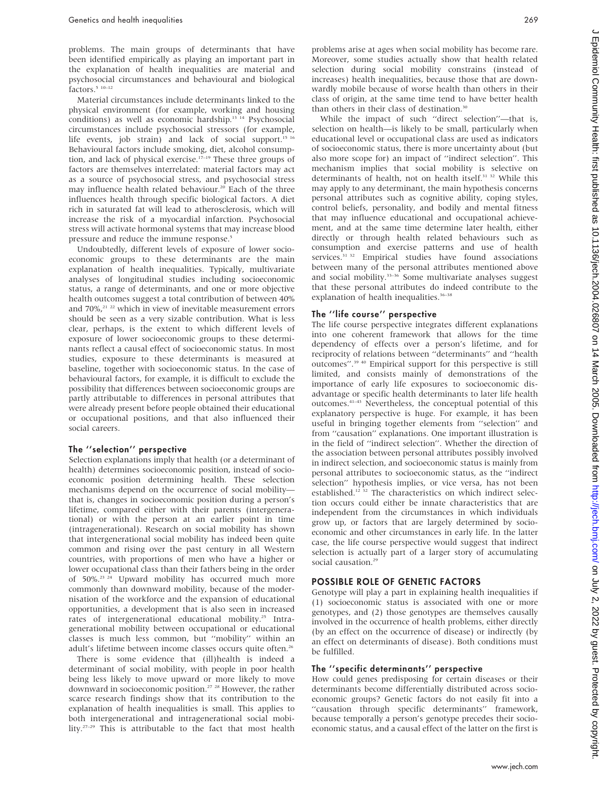problems. The main groups of determinants that have been identified empirically as playing an important part in the explanation of health inequalities are material and psychosocial circumstances and behavioural and biological factors.<sup>5</sup> 10–12

Material circumstances include determinants linked to the physical environment (for example, working and housing conditions) as well as economic hardship.13 14 Psychosocial circumstances include psychosocial stressors (for example, life events, job strain) and lack of social support.<sup>15 16</sup> Behavioural factors include smoking, diet, alcohol consumption, and lack of physical exercise.<sup>17-19</sup> These three groups of factors are themselves interrelated: material factors may act as a source of psychosocial stress, and psychosocial stress may influence health related behaviour.<sup>20</sup> Each of the three influences health through specific biological factors. A diet rich in saturated fat will lead to atherosclerosis, which will increase the risk of a myocardial infarction. Psychosocial stress will activate hormonal systems that may increase blood pressure and reduce the immune response.<sup>5</sup>

Undoubtedly, different levels of exposure of lower socioeconomic groups to these determinants are the main explanation of health inequalities. Typically, multivariate analyses of longitudinal studies including socioeconomic status, a range of determinants, and one or more objective health outcomes suggest a total contribution of between 40% and  $70\%$ <sup>21 22</sup> which in view of inevitable measurement errors should be seen as a very sizable contribution. What is less clear, perhaps, is the extent to which different levels of exposure of lower socioeconomic groups to these determinants reflect a causal effect of socioeconomic status. In most studies, exposure to these determinants is measured at baseline, together with socioeconomic status. In the case of behavioural factors, for example, it is difficult to exclude the possibility that differences between socioeconomic groups are partly attributable to differences in personal attributes that were already present before people obtained their educational or occupational positions, and that also influenced their social careers.

# The ''selection'' perspective

Selection explanations imply that health (or a determinant of health) determines socioeconomic position, instead of socioeconomic position determining health. These selection mechanisms depend on the occurrence of social mobility that is, changes in socioeconomic position during a person's lifetime, compared either with their parents (intergenerational) or with the person at an earlier point in time (intragenerational). Research on social mobility has shown that intergenerational social mobility has indeed been quite common and rising over the past century in all Western countries, with proportions of men who have a higher or lower occupational class than their fathers being in the order of 50%.<sup>23 24</sup> Upward mobility has occurred much more commonly than downward mobility, because of the modernisation of the workforce and the expansion of educational opportunities, a development that is also seen in increased rates of intergenerational educational mobility.<sup>25</sup> Intragenerational mobility between occupational or educational classes is much less common, but ''mobility'' within an adult's lifetime between income classes occurs quite often.<sup>26</sup>

There is some evidence that (ill)health is indeed a determinant of social mobility, with people in poor health being less likely to move upward or more likely to move downward in socioeconomic position.27 28 However, the rather scarce research findings show that its contribution to the explanation of health inequalities is small. This applies to both intergenerational and intragenerational social mobility.27–29 This is attributable to the fact that most health problems arise at ages when social mobility has become rare. Moreover, some studies actually show that health related selection during social mobility constrains (instead of increases) health inequalities, because those that are downwardly mobile because of worse health than others in their class of origin, at the same time tend to have better health than others in their class of destination.<sup>30</sup>

While the impact of such ''direct selection''—that is, selection on health—is likely to be small, particularly when educational level or occupational class are used as indicators of socioeconomic status, there is more uncertainty about (but also more scope for) an impact of ''indirect selection''. This mechanism implies that social mobility is selective on determinants of health, not on health itself.<sup>31</sup> <sup>32</sup> While this may apply to any determinant, the main hypothesis concerns personal attributes such as cognitive ability, coping styles, control beliefs, personality, and bodily and mental fitness that may influence educational and occupational achievement, and at the same time determine later health, either directly or through health related behaviours such as consumption and exercise patterns and use of health services.<sup>31</sup><sup>32</sup> Empirical studies have found associations between many of the personal attributes mentioned above and social mobility.<sup>33-36</sup> Some multivariate analyses suggest that these personal attributes do indeed contribute to the explanation of health inequalities.<sup>36-38</sup>

# The ''life course'' perspective

The life course perspective integrates different explanations into one coherent framework that allows for the time dependency of effects over a person's lifetime, and for reciprocity of relations between ''determinants'' and ''health outcomes''.39 40 Empirical support for this perspective is still limited, and consists mainly of demonstrations of the importance of early life exposures to socioeconomic disadvantage or specific health determinants to later life health outcomes.41–43 Nevertheless, the conceptual potential of this explanatory perspective is huge. For example, it has been useful in bringing together elements from ''selection'' and from "causation" explanations. One important illustration is in the field of ''indirect selection''. Whether the direction of the association between personal attributes possibly involved in indirect selection, and socioeconomic status is mainly from personal attributes to socioeconomic status, as the ''indirect selection'' hypothesis implies, or vice versa, has not been established.<sup>12 32</sup> The characteristics on which indirect selection occurs could either be innate characteristics that are independent from the circumstances in which individuals grow up, or factors that are largely determined by socioeconomic and other circumstances in early life. In the latter case, the life course perspective would suggest that indirect selection is actually part of a larger story of accumulating social causation.<sup>29</sup>

# POSSIBLE ROLE OF GENETIC FACTORS

Genotype will play a part in explaining health inequalities if (1) socioeconomic status is associated with one or more genotypes, and (2) those genotypes are themselves causally involved in the occurrence of health problems, either directly (by an effect on the occurrence of disease) or indirectly (by an effect on determinants of disease). Both conditions must be fulfilled.

# The ''specific determinants'' perspective

How could genes predisposing for certain diseases or their determinants become differentially distributed across socioeconomic groups? Genetic factors do not easily fit into a "causation through specific determinants" framework, because temporally a person's genotype precedes their socioeconomic status, and a causal effect of the latter on the first is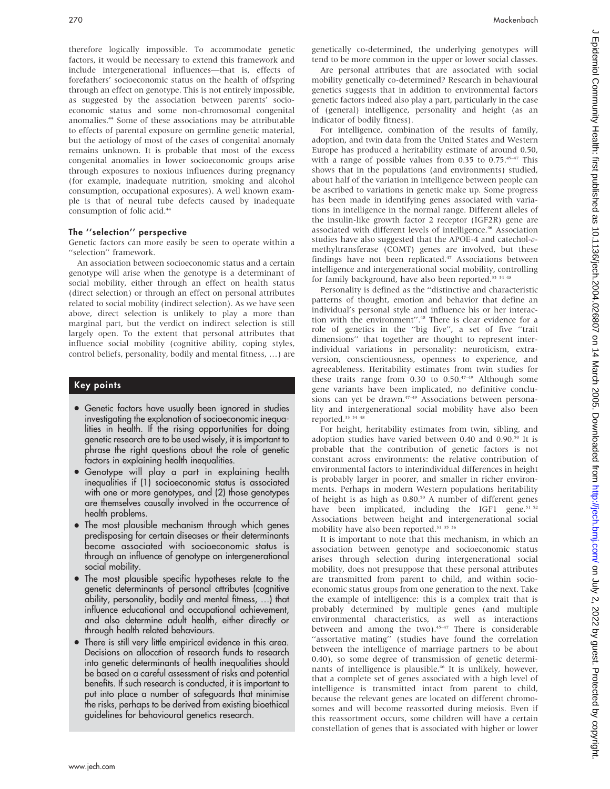therefore logically impossible. To accommodate genetic factors, it would be necessary to extend this framework and include intergenerational influences—that is, effects of forefathers' socioeconomic status on the health of offspring through an effect on genotype. This is not entirely impossible, as suggested by the association between parents' socioeconomic status and some non-chromosomal congenital anomalies.44 Some of these associations may be attributable to effects of parental exposure on germline genetic material, but the aetiology of most of the cases of congenital anomaly remains unknown. It is probable that most of the excess congenital anomalies in lower socioeconomic groups arise through exposures to noxious influences during pregnancy (for example, inadequate nutrition, smoking and alcohol consumption, occupational exposures). A well known example is that of neural tube defects caused by inadequate consumption of folic acid.<sup>44</sup>

# The ''selection'' perspective

Genetic factors can more easily be seen to operate within a "selection" framework.

An association between socioeconomic status and a certain genotype will arise when the genotype is a determinant of social mobility, either through an effect on health status (direct selection) or through an effect on personal attributes related to social mobility (indirect selection). As we have seen above, direct selection is unlikely to play a more than marginal part, but the verdict on indirect selection is still largely open. To the extent that personal attributes that influence social mobility (cognitive ability, coping styles, control beliefs, personality, bodily and mental fitness, …) are

# Key points

- Genetic factors have usually been ignored in studies investigating the explanation of socioeconomic inequalities in health. If the rising opportunities for doing genetic research are to be used wisely, it is important to phrase the right questions about the role of genetic factors in explaining health inequalities.
- Genotype will play a part in explaining health inequalities if (1) socioeconomic status is associated with one or more genotypes, and (2) those genotypes are themselves causally involved in the occurrence of health problems.
- The most plausible mechanism through which genes predisposing for certain diseases or their determinants become associated with socioeconomic status is through an influence of genotype on intergenerational social mobility.
- The most plausible specific hypotheses relate to the genetic determinants of personal attributes (cognitive ability, personality, bodily and mental fitness, …) that influence educational and occupational achievement, and also determine adult health, either directly or through health related behaviours.
- **•** There is still very little empirical evidence in this area. Decisions on allocation of research funds to research into genetic determinants of health inequalities should be based on a careful assessment of risks and potential benefits. If such research is conducted, it is important to put into place a number of safeguards that minimise the risks, perhaps to be derived from existing bioethical guidelines for behavioural genetics research.

genetically co-determined, the underlying genotypes will tend to be more common in the upper or lower social classes.

Are personal attributes that are associated with social mobility genetically co-determined? Research in behavioural genetics suggests that in addition to environmental factors genetic factors indeed also play a part, particularly in the case of (general) intelligence, personality and height (as an indicator of bodily fitness).

For intelligence, combination of the results of family, adoption, and twin data from the United States and Western Europe has produced a heritability estimate of around 0.50, with a range of possible values from  $0.35$  to  $0.75.^{45-47}$  This shows that in the populations (and environments) studied, about half of the variation in intelligence between people can be ascribed to variations in genetic make up. Some progress has been made in identifying genes associated with variations in intelligence in the normal range. Different alleles of the insulin-like growth factor 2 receptor (IGF2R) gene are associated with different levels of intelligence.<sup>46</sup> Association studies have also suggested that the APOE-4 and catechol-omethyltransferase (COMT) genes are involved, but these findings have not been replicated.<sup>47</sup> Associations between intelligence and intergenerational social mobility, controlling for family background, have also been reported.<sup>33</sup> 34 48

Personality is defined as the ''distinctive and characteristic patterns of thought, emotion and behavior that define an individual's personal style and influence his or her interaction with the environment''.48 There is clear evidence for a role of genetics in the ''big five'', a set of five ''trait dimensions'' that together are thought to represent interindividual variations in personality: neuroticism, extraversion, conscientiousness, openness to experience, and agreeableness. Heritability estimates from twin studies for these traits range from 0.30 to 0.50.<sup>47-49</sup> Although some gene variants have been implicated, no definitive conclusions can yet be drawn.<sup>47-49</sup> Associations between personality and intergenerational social mobility have also been reported.<sup>33</sup> 34 4

For height, heritability estimates from twin, sibling, and adoption studies have varied between 0.40 and 0.90.<sup>50</sup> It is probable that the contribution of genetic factors is not constant across environments: the relative contribution of environmental factors to interindividual differences in height is probably larger in poorer, and smaller in richer environments. Perhaps in modern Western populations heritability of height is as high as 0.80.50 A number of different genes have been implicated, including the IGF1 gene.<sup>51 52</sup> Associations between height and intergenerational social mobility have also been reported.<sup>31</sup> <sup>35</sup> <sup>36</sup>

It is important to note that this mechanism, in which an association between genotype and socioeconomic status arises through selection during intergenerational social mobility, does not presuppose that these personal attributes are transmitted from parent to child, and within socioeconomic status groups from one generation to the next. Take the example of intelligence: this is a complex trait that is probably determined by multiple genes (and multiple environmental characteristics, as well as interactions between and among the two).<sup>45-47</sup> There is considerable "assortative mating" (studies have found the correlation between the intelligence of marriage partners to be about 0.40), so some degree of transmission of genetic determinants of intelligence is plausible.<sup>46</sup> It is unlikely, however, that a complete set of genes associated with a high level of intelligence is transmitted intact from parent to child, because the relevant genes are located on different chromosomes and will become reassorted during meiosis. Even if this reassortment occurs, some children will have a certain constellation of genes that is associated with higher or lower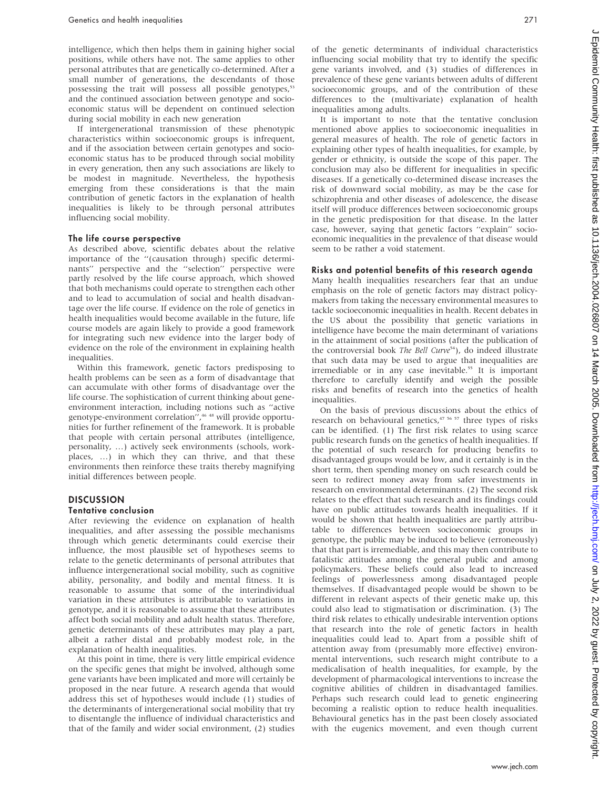intelligence, which then helps them in gaining higher social positions, while others have not. The same applies to other personal attributes that are genetically co-determined. After a small number of generations, the descendants of those possessing the trait will possess all possible genotypes,<sup>53</sup> and the continued association between genotype and socioeconomic status will be dependent on continued selection during social mobility in each new generation

If intergenerational transmission of these phenotypic characteristics within socioeconomic groups is infrequent, and if the association between certain genotypes and socioeconomic status has to be produced through social mobility in every generation, then any such associations are likely to be modest in magnitude. Nevertheless, the hypothesis emerging from these considerations is that the main contribution of genetic factors in the explanation of health inequalities is likely to be through personal attributes influencing social mobility.

#### The life course perspective

As described above, scientific debates about the relative importance of the ''(causation through) specific determinants'' perspective and the ''selection'' perspective were partly resolved by the life course approach, which showed that both mechanisms could operate to strengthen each other and to lead to accumulation of social and health disadvantage over the life course. If evidence on the role of genetics in health inequalities would become available in the future, life course models are again likely to provide a good framework for integrating such new evidence into the larger body of evidence on the role of the environment in explaining health inequalities.

Within this framework, genetic factors predisposing to health problems can be seen as a form of disadvantage that can accumulate with other forms of disadvantage over the life course. The sophistication of current thinking about geneenvironment interaction, including notions such as ''active genotype-environment correlation",<sup>46 48</sup> will provide opportunities for further refinement of the framework. It is probable that people with certain personal attributes (intelligence, personality, …) actively seek environments (schools, workplaces, …) in which they can thrive, and that these environments then reinforce these traits thereby magnifying initial differences between people.

# DISCUSSION

# Tentative conclusion

After reviewing the evidence on explanation of health inequalities, and after assessing the possible mechanisms through which genetic determinants could exercise their influence, the most plausible set of hypotheses seems to relate to the genetic determinants of personal attributes that influence intergenerational social mobility, such as cognitive ability, personality, and bodily and mental fitness. It is reasonable to assume that some of the interindividual variation in these attributes is attributable to variations in genotype, and it is reasonable to assume that these attributes affect both social mobility and adult health status. Therefore, genetic determinants of these attributes may play a part, albeit a rather distal and probably modest role, in the explanation of health inequalities.

At this point in time, there is very little empirical evidence on the specific genes that might be involved, although some gene variants have been implicated and more will certainly be proposed in the near future. A research agenda that would address this set of hypotheses would include (1) studies of the determinants of intergenerational social mobility that try to disentangle the influence of individual characteristics and that of the family and wider social environment, (2) studies of the genetic determinants of individual characteristics influencing social mobility that try to identify the specific gene variants involved, and (3) studies of differences in prevalence of these gene variants between adults of different socioeconomic groups, and of the contribution of these differences to the (multivariate) explanation of health inequalities among adults.

It is important to note that the tentative conclusion mentioned above applies to socioeconomic inequalities in general measures of health. The role of genetic factors in explaining other types of health inequalities, for example, by gender or ethnicity, is outside the scope of this paper. The conclusion may also be different for inequalities in specific diseases. If a genetically co-determined disease increases the risk of downward social mobility, as may be the case for schizophrenia and other diseases of adolescence, the disease itself will produce differences between socioeconomic groups in the genetic predisposition for that disease. In the latter case, however, saying that genetic factors ''explain'' socioeconomic inequalities in the prevalence of that disease would seem to be rather a void statement.

#### Risks and potential benefits of this research agenda

Many health inequalities researchers fear that an undue emphasis on the role of genetic factors may distract policymakers from taking the necessary environmental measures to tackle socioeconomic inequalities in health. Recent debates in the US about the possibility that genetic variations in intelligence have become the main determinant of variations in the attainment of social positions (after the publication of the controversial book The Bell Curve<sup>54</sup>), do indeed illustrate that such data may be used to argue that inequalities are irremediable or in any case inevitable.<sup>55</sup> It is important therefore to carefully identify and weigh the possible risks and benefits of research into the genetics of health inequalities.

On the basis of previous discussions about the ethics of research on behavioural genetics,<sup>47 56 57</sup> three types of risks can be identified. (1) The first risk relates to using scarce public research funds on the genetics of health inequalities. If the potential of such research for producing benefits to disadvantaged groups would be low, and it certainly is in the short term, then spending money on such research could be seen to redirect money away from safer investments in research on environmental determinants. (2) The second risk relates to the effect that such research and its findings could have on public attitudes towards health inequalities. If it would be shown that health inequalities are partly attributable to differences between socioeconomic groups in genotype, the public may be induced to believe (erroneously) that that part is irremediable, and this may then contribute to fatalistic attitudes among the general public and among policymakers. These beliefs could also lead to increased feelings of powerlessness among disadvantaged people themselves. If disadvantaged people would be shown to be different in relevant aspects of their genetic make up, this could also lead to stigmatisation or discrimination. (3) The third risk relates to ethically undesirable intervention options that research into the role of genetic factors in health inequalities could lead to. Apart from a possible shift of attention away from (presumably more effective) environmental interventions, such research might contribute to a medicalisation of health inequalities, for example, by the development of pharmacological interventions to increase the cognitive abilities of children in disadvantaged families. Perhaps such research could lead to genetic engineering becoming a realistic option to reduce health inequalities. Behavioural genetics has in the past been closely associated with the eugenics movement, and even though current

 $\subset$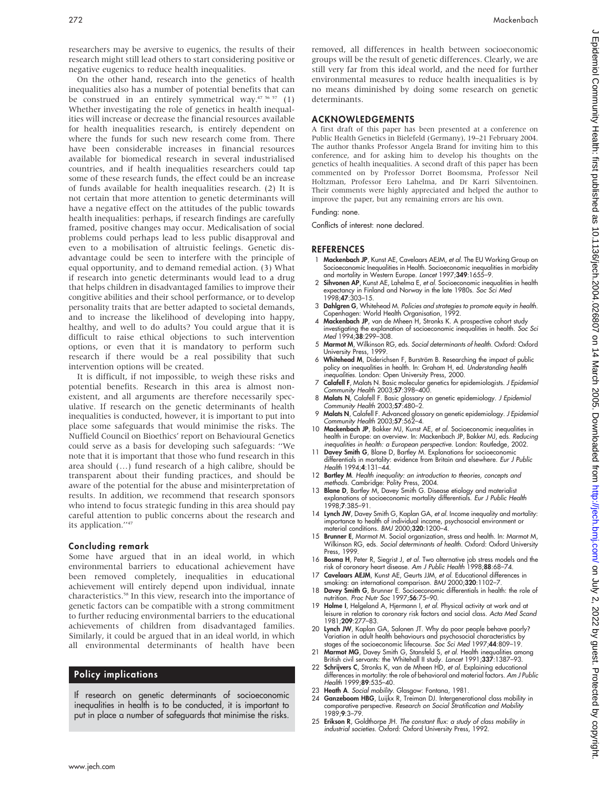researchers may be aversive to eugenics, the results of their research might still lead others to start considering positive or negative eugenics to reduce health inequalities.

On the other hand, research into the genetics of health inequalities also has a number of potential benefits that can be construed in an entirely symmetrical way.47 56 57 (1) Whether investigating the role of genetics in health inequalities will increase or decrease the financial resources available for health inequalities research, is entirely dependent on where the funds for such new research come from. There have been considerable increases in financial resources available for biomedical research in several industrialised countries, and if health inequalities researchers could tap some of these research funds, the effect could be an increase of funds available for health inequalities research. (2) It is not certain that more attention to genetic determinants will have a negative effect on the attitudes of the public towards health inequalities: perhaps, if research findings are carefully framed, positive changes may occur. Medicalisation of social problems could perhaps lead to less public disapproval and even to a mobilisation of altruistic feelings. Genetic disadvantage could be seen to interfere with the principle of equal opportunity, and to demand remedial action. (3) What if research into genetic determinants would lead to a drug that helps children in disadvantaged families to improve their congitive abilities and their school performance, or to develop personality traits that are better adapted to societal demands, and to increase the likelihood of developing into happy, healthy, and well to do adults? You could argue that it is difficult to raise ethical objections to such intervention options, or even that it is mandatory to perform such research if there would be a real possibility that such intervention options will be created.

It is difficult, if not impossible, to weigh these risks and potential benefits. Research in this area is almost nonexistent, and all arguments are therefore necessarily speculative. If research on the genetic determinants of health inequalities is conducted, however, it is important to put into place some safeguards that would minimise the risks. The Nuffield Council on Bioethics' report on Behavioural Genetics could serve as a basis for developing such safeguards: ''We note that it is important that those who fund research in this area should (…) fund research of a high calibre, should be transparent about their funding practices, and should be aware of the potential for the abuse and misinterpretation of results. In addition, we recommend that research sponsors who intend to focus strategic funding in this area should pay careful attention to public concerns about the research and its application."<sup>47</sup>

#### Concluding remark

Some have argued that in an ideal world, in which environmental barriers to educational achievement have been removed completely, inequalities in educational achievement will entirely depend upon individual, innate characteristics.58 In this view, research into the importance of genetic factors can be compatible with a strong commitment to further reducing environmental barriers to the educational achievements of children from disadvantaged families. Similarly, it could be argued that in an ideal world, in which all environmental determinants of health have been

# Policy implications

If research on genetic determinants of socioeconomic inequalities in health is to be conducted, it is important to put in place a number of safeguards that minimise the risks.

removed, all differences in health between socioeconomic groups will be the result of genetic differences. Clearly, we are still very far from this ideal world, and the need for further environmental measures to reduce health inequalities is by no means diminished by doing some research on genetic determinants.

# ACKNOWLEDGEMENTS

A first draft of this paper has been presented at a conference on Public Health Genetics in Bielefeld (Germany), 19–21 February 2004. The author thanks Professor Angela Brand for inviting him to this conference, and for asking him to develop his thoughts on the genetics of health inequalities. A second draft of this paper has been commented on by Professor Dorret Boomsma, Professor Neil Holtzman, Professor Eero Lahelma, and Dr Karri Silventoinen. Their comments were highly appreciated and helped the author to improve the paper, but any remaining errors are his own.

#### Funding: none.

Conflicts of interest: none declared.

# **REFERENCES**

- 1 Mackenbach JP, Kunst AE, Cavelaars AEJM, et al. The EU Working Group on Socioeconomic Inequalities in Health. Socioeconomic inequalities in morbidity<br>and mortality in Western Europe. *Lancet* 1997;**349**:1655–9.
- 2 Sihvonen AP, Kunst AE, Lahelma E, et al. Socioeconomic inequalities in health expectancy in Finland and Norway in the late 1980s. *Soc Sci Med*<br>1998;**47**:303–15.
- 3 Dahlgren G, Whitehead M. Policies and strategies to promote equity in health. Copenhagen: World Health Organisation, 1992.
- 4 Mackenbach JP, van de Mheen H, Stronks K. A prospective cohort study investigating the explanation of socioeconomic inequalities in health. Soc Sci Med 1994;38:299-308.
- 5 Marmot M, Wilkinson RG, eds. Social determinants of health. Oxford: Oxford University Press, 1999.
- 6 Whitehead M, Diderichsen F, Burström B. Researching the impact of public policy on inequalities in health. In: Graham H, ed. Understanding health inequalities. London: Open University Press, 2000.
- 7 Calafell F, Malats N. Basic molecular genetics for epidemiologists. J Epidemiol
- Community Health 2003;**57**:398–400.<br>8 **Malats N**, Calafell F. Basic glossary on genetic epidemiology. *J Epidemiol*<br>Community Health 2003;**57**:480–2.
- 9 Malats N, Calafell F. Advanced glossary on genetic epidemiology. J Epidemiol Community Health 2003;57:562–4.
- 10 Mackenbach JP, Bakker MJ, Kunst AE, et al. Socioeconomic inequalities in health in Europe: an overview. In: Mackenbach JP, Bakker MJ, eds. Reducing inequalities in health: a European perspective. London: Routledge, 2002.
- 11 Davey Smith G, Blane D, Bartley M. Explanations for socioeconomic differentials in mortality: evidence from Britain and elsewhere. Eur J Public Health 1994;4:131–44.
- 12 Bartley M. Health inequality: an introduction to theories, concepts and methods. Cambridge: Polity Press, 2004.
- 13 **Blane D**, Bartley M, Davey Smith G. Disease etiology and materialist explanations of socioeconomic mortality differentials. Eur J Public Health 1998;7:385–91.
- 14 Lynch JW, Davey Smith G, Kaplan GA, et al. Income inequality and mortality: importance to health of individual income, psychosocial environment or material conditions. BMJ 2000;320:1200–4.
- 15 Brunner E, Marmot M. Social organization, stress and health. In: Marmot M, Wilkinson RG, eds. Social determinants of health. Oxford: Oxford University Press, 1999.
- 16 Bosma H, Peter R, Siegrist J, et al. Two alternative job stress models and the risk of coronary heart disease. Am J Public Health 1998;88:68–74.
- 17 Cavelaars AEJM, Kunst AE, Geurts JJM, et al. Educational differences in smoking: an international comparison. BMJ 2000;320:1102–7.
- 18 Davey Smith G, Brunner E. Socioeconomic differentials in health: the role of nutrition. Proc Nutr Soc 1997;56:75–90.
- 19 Holme I, Helgeland A, Hjermann I, et al. Physical activity at work and at leisure in relation to coronary risk factors and social class. Acta Med Scand 1981;209:277–83.
- 20 Lynch JW, Kaplan GA, Salonen JT. Why do poor people behave poorly? Variation in adult health behaviours and psychosocial characteristics by stages of the socioeconomic lifecourse. Soc Sci Med 1997;44:809-19.
- 21 Marmot MG, Davey Smith G, Stansfeld S, et al. Health inequalities among British civil servants: the Whitehall II study. Lancet 1991;337:1387–93.
- Schrijvers C, Stronks K, van de Mheen HD, et al. Explaining educational differences in mortality: the role of behavioral and material factors. Am J Public Health 1999;89:535–40.
- 23 Heath A. Social mobility. Glasgow: Fontana, 1981.
- 24 **Ganzeboom HBG**, Luijkx R, Treiman DJ. Intergenerational class mobility in<br>comparative perspective. Research on Social Stratification and Mobility<br>1989;**9**:3–79.
- 25 Erikson R, Goldthorpe JH. The constant flux: a study of class mobility in industrial societies. Oxford: Oxford University Press, 1992.